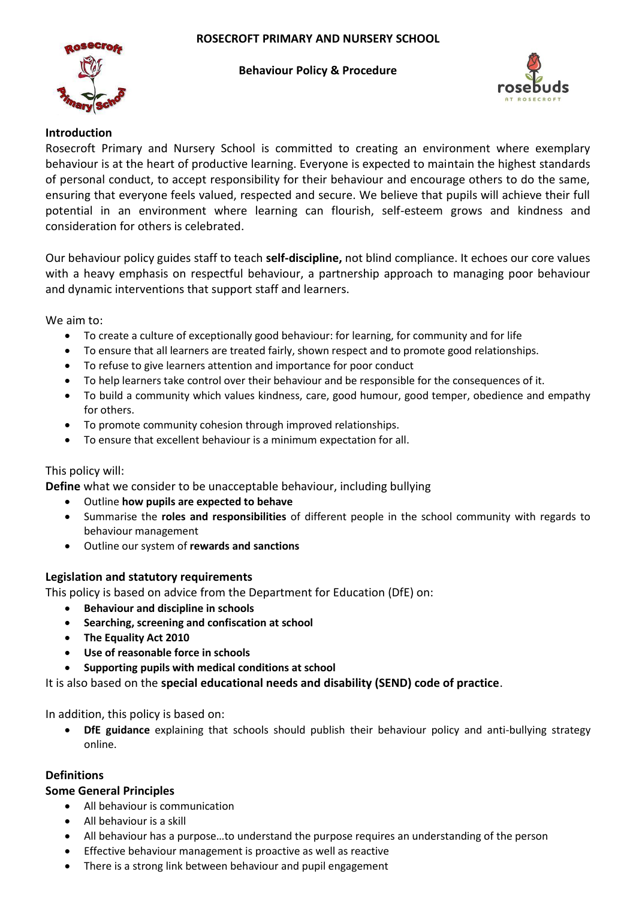

### **Behaviour Policy & Procedure**



### **Introduction**

Rosecroft Primary and Nursery School is committed to creating an environment where exemplary behaviour is at the heart of productive learning. Everyone is expected to maintain the highest standards of personal conduct, to accept responsibility for their behaviour and encourage others to do the same, ensuring that everyone feels valued, respected and secure. We believe that pupils will achieve their full potential in an environment where learning can flourish, self-esteem grows and kindness and consideration for others is celebrated.

Our behaviour policy guides staff to teach **self-discipline,** not blind compliance. It echoes our core values with a heavy emphasis on respectful behaviour, a partnership approach to managing poor behaviour and dynamic interventions that support staff and learners.

We aim to:

- To create a culture of exceptionally good behaviour: for learning, for community and for life
- To ensure that all learners are treated fairly, shown respect and to promote good relationships.
- To refuse to give learners attention and importance for poor conduct
- To help learners take control over their behaviour and be responsible for the consequences of it.
- To build a community which values kindness, care, good humour, good temper, obedience and empathy for others.
- To promote community cohesion through improved relationships.
- To ensure that excellent behaviour is a minimum expectation for all.

### This policy will:

**Define** what we consider to be unacceptable behaviour, including bullying

- Outline **how pupils are expected to behave**
- Summarise the **roles and responsibilities** of different people in the school community with regards to behaviour management
- Outline our system of **rewards and sanctions**

### **Legislation and statutory requirements**

This policy is based on advice from the Department for Education (DfE) on:

- **Behaviour and discipline in schools**
- **Searching, screening and confiscation at school**
- **The Equality Act 2010**
- **Use of reasonable force in schools**
- **Supporting pupils with medical conditions at school**

It is also based on the **special educational needs and disability (SEND) code of practice**.

In addition, this policy is based on:

 **DfE guidance** explaining that schools should publish their behaviour policy and anti-bullying strategy online.

### **Definitions**

### **Some General Principles**

- All behaviour is communication
- All behaviour is a skill
- All behaviour has a purpose…to understand the purpose requires an understanding of the person
- Effective behaviour management is proactive as well as reactive
- There is a strong link between behaviour and pupil engagement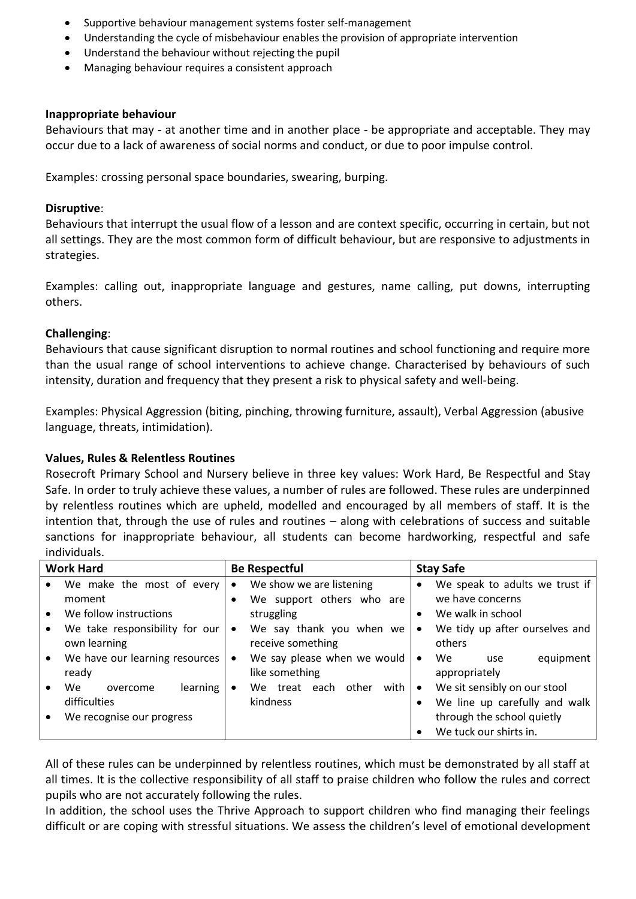- Supportive behaviour management systems foster self-management
- Understanding the cycle of misbehaviour enables the provision of appropriate intervention
- Understand the behaviour without rejecting the pupil
- Managing behaviour requires a consistent approach

#### **Inappropriate behaviour**

Behaviours that may - at another time and in another place - be appropriate and acceptable. They may occur due to a lack of awareness of social norms and conduct, or due to poor impulse control.

Examples: crossing personal space boundaries, swearing, burping.

#### **Disruptive**:

Behaviours that interrupt the usual flow of a lesson and are context specific, occurring in certain, but not all settings. They are the most common form of difficult behaviour, but are responsive to adjustments in strategies.

Examples: calling out, inappropriate language and gestures, name calling, put downs, interrupting others.

### **Challenging**:

Behaviours that cause significant disruption to normal routines and school functioning and require more than the usual range of school interventions to achieve change. Characterised by behaviours of such intensity, duration and frequency that they present a risk to physical safety and well-being.

Examples: Physical Aggression (biting, pinching, throwing furniture, assault), Verbal Aggression (abusive language, threats, intimidation).

### **Values, Rules & Relentless Routines**

Rosecroft Primary School and Nursery believe in three key values: Work Hard, Be Respectful and Stay Safe. In order to truly achieve these values, a number of rules are followed. These rules are underpinned by relentless routines which are upheld, modelled and encouraged by all members of staff. It is the intention that, through the use of rules and routines – along with celebrations of success and suitable sanctions for inappropriate behaviour, all students can become hardworking, respectful and safe individuals.

| <b>Work Hard</b> |                                                | <b>Be Respectful</b> |                                               | <b>Stay Safe</b> |                                                               |
|------------------|------------------------------------------------|----------------------|-----------------------------------------------|------------------|---------------------------------------------------------------|
|                  | We make the most of every                      | $\bullet$            | We show we are listening                      | $\bullet$        | We speak to adults we trust if                                |
|                  | moment                                         |                      | We support others who are                     |                  | we have concerns                                              |
|                  | We follow instructions                         |                      | struggling                                    | $\bullet$        | We walk in school                                             |
|                  | We take responsibility for our<br>own learning | $\bullet$            | We say thank you when we<br>receive something | $\bullet$        | We tidy up after ourselves and<br>others                      |
|                  | We have our learning resources<br>ready        | $\bullet$            | We say please when we would<br>like something | $\bullet$        | equipment<br>We<br>use<br>appropriately                       |
|                  | We<br>learning<br>overcome<br>difficulties     | ٠                    | with<br>treat each<br>other<br>We<br>kindness | $\bullet$        | We sit sensibly on our stool<br>We line up carefully and walk |
|                  | We recognise our progress                      |                      |                                               |                  | through the school quietly<br>We tuck our shirts in.          |

All of these rules can be underpinned by relentless routines, which must be demonstrated by all staff at all times. It is the collective responsibility of all staff to praise children who follow the rules and correct pupils who are not accurately following the rules.

In addition, the school uses the Thrive Approach to support children who find managing their feelings difficult or are coping with stressful situations. We assess the children's level of emotional development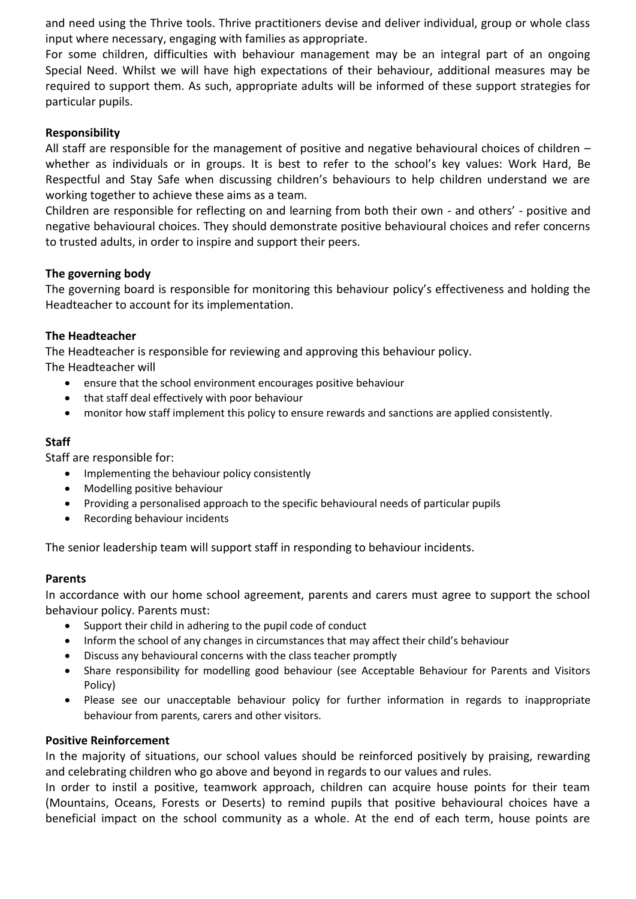and need using the Thrive tools. Thrive practitioners devise and deliver individual, group or whole class input where necessary, engaging with families as appropriate.

For some children, difficulties with behaviour management may be an integral part of an ongoing Special Need. Whilst we will have high expectations of their behaviour, additional measures may be required to support them. As such, appropriate adults will be informed of these support strategies for particular pupils.

## **Responsibility**

All staff are responsible for the management of positive and negative behavioural choices of children – whether as individuals or in groups. It is best to refer to the school's key values: Work Hard, Be Respectful and Stay Safe when discussing children's behaviours to help children understand we are working together to achieve these aims as a team.

Children are responsible for reflecting on and learning from both their own - and others' - positive and negative behavioural choices. They should demonstrate positive behavioural choices and refer concerns to trusted adults, in order to inspire and support their peers.

## **The governing body**

The governing board is responsible for monitoring this behaviour policy's effectiveness and holding the Headteacher to account for its implementation.

## **The Headteacher**

The Headteacher is responsible for reviewing and approving this behaviour policy.

The Headteacher will

- ensure that the school environment encourages positive behaviour
- that staff deal effectively with poor behaviour
- monitor how staff implement this policy to ensure rewards and sanctions are applied consistently.

## **Staff**

Staff are responsible for:

- Implementing the behaviour policy consistently
- Modelling positive behaviour
- Providing a personalised approach to the specific behavioural needs of particular pupils
- Recording behaviour incidents

The senior leadership team will support staff in responding to behaviour incidents.

### **Parents**

In accordance with our home school agreement, parents and carers must agree to support the school behaviour policy. Parents must:

- Support their child in adhering to the pupil code of conduct
- Inform the school of any changes in circumstances that may affect their child's behaviour
- Discuss any behavioural concerns with the class teacher promptly
- Share responsibility for modelling good behaviour (see Acceptable Behaviour for Parents and Visitors Policy)
- Please see our unacceptable behaviour policy for further information in regards to inappropriate behaviour from parents, carers and other visitors.

### **Positive Reinforcement**

In the majority of situations, our school values should be reinforced positively by praising, rewarding and celebrating children who go above and beyond in regards to our values and rules.

In order to instil a positive, teamwork approach, children can acquire house points for their team (Mountains, Oceans, Forests or Deserts) to remind pupils that positive behavioural choices have a beneficial impact on the school community as a whole. At the end of each term, house points are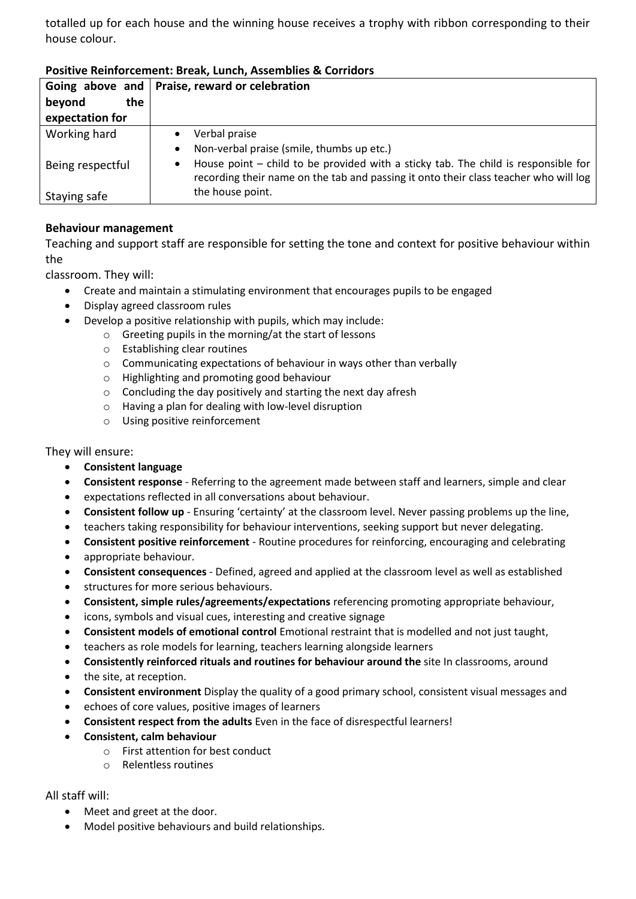totalled up for each house and the winning house receives a trophy with ribbon corresponding to their house colour.

|                  | Going above and   Praise, reward or celebration                                                                                                                                         |  |  |  |  |  |
|------------------|-----------------------------------------------------------------------------------------------------------------------------------------------------------------------------------------|--|--|--|--|--|
| beyond<br>the    |                                                                                                                                                                                         |  |  |  |  |  |
| expectation for  |                                                                                                                                                                                         |  |  |  |  |  |
| Working hard     | Verbal praise                                                                                                                                                                           |  |  |  |  |  |
|                  | Non-verbal praise (smile, thumbs up etc.)<br>$\bullet$                                                                                                                                  |  |  |  |  |  |
| Being respectful | House point – child to be provided with a sticky tab. The child is responsible for<br>$\bullet$<br>recording their name on the tab and passing it onto their class teacher who will log |  |  |  |  |  |
| Staying safe     | the house point.                                                                                                                                                                        |  |  |  |  |  |

## **Positive Reinforcement: Break, Lunch, Assemblies & Corridors**

## **Behaviour management**

Teaching and support staff are responsible for setting the tone and context for positive behaviour within the

classroom. They will:

- Create and maintain a stimulating environment that encourages pupils to be engaged
- Display agreed classroom rules
- Develop a positive relationship with pupils, which may include:
	- o Greeting pupils in the morning/at the start of lessons
	- o Establishing clear routines
	- o Communicating expectations of behaviour in ways other than verbally
	- o Highlighting and promoting good behaviour
	- o Concluding the day positively and starting the next day afresh
	- o Having a plan for dealing with low-level disruption
	- o Using positive reinforcement

#### They will ensure:

- **Consistent language**
- **Consistent response**  Referring to the agreement made between staff and learners, simple and clear
- expectations reflected in all conversations about behaviour.
- **Consistent follow up**  Ensuring 'certainty' at the classroom level. Never passing problems up the line,
- teachers taking responsibility for behaviour interventions, seeking support but never delegating.
- **Consistent positive reinforcement**  Routine procedures for reinforcing, encouraging and celebrating
- appropriate behaviour.
- **Consistent consequences**  Defined, agreed and applied at the classroom level as well as established
- structures for more serious behaviours.
- **Consistent, simple rules/agreements/expectations** referencing promoting appropriate behaviour,
- icons, symbols and visual cues, interesting and creative signage
- **Consistent models of emotional control** Emotional restraint that is modelled and not just taught,
- teachers as role models for learning, teachers learning alongside learners
- **Consistently reinforced rituals and routines for behaviour around the** site In classrooms, around
- the site, at reception.
- **Consistent environment** Display the quality of a good primary school, consistent visual messages and
- echoes of core values, positive images of learners
- **Consistent respect from the adults** Even in the face of disrespectful learners!
- **Consistent, calm behaviour**
	- o First attention for best conduct
	- o Relentless routines

### All staff will:

- Meet and greet at the door.
- Model positive behaviours and build relationships.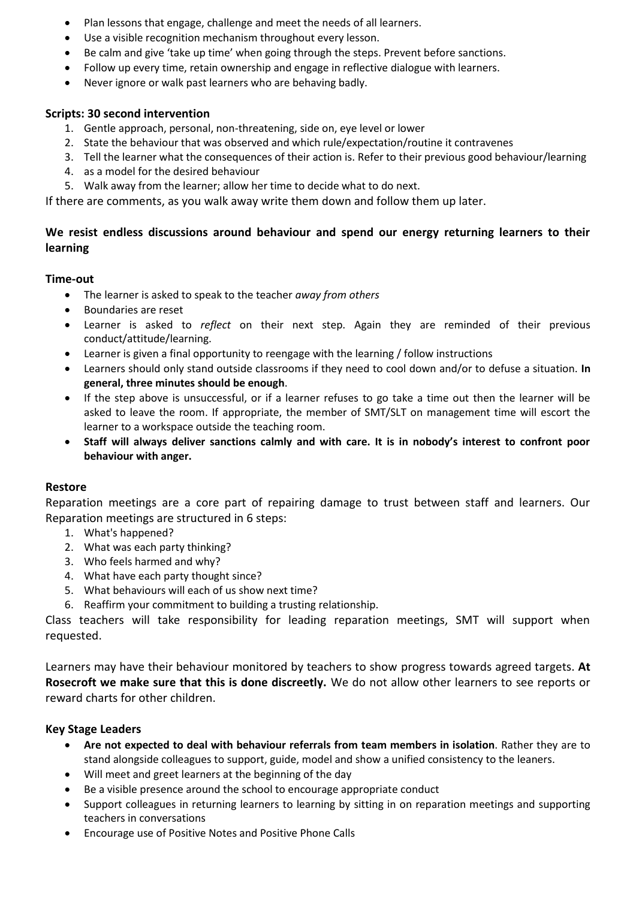- Plan lessons that engage, challenge and meet the needs of all learners.
- Use a visible recognition mechanism throughout every lesson.
- Be calm and give 'take up time' when going through the steps. Prevent before sanctions.
- Follow up every time, retain ownership and engage in reflective dialogue with learners.
- Never ignore or walk past learners who are behaving badly.

### **Scripts: 30 second intervention**

- 1. Gentle approach, personal, non-threatening, side on, eye level or lower
- 2. State the behaviour that was observed and which rule/expectation/routine it contravenes
- 3. Tell the learner what the consequences of their action is. Refer to their previous good behaviour/learning
- 4. as a model for the desired behaviour
- 5. Walk away from the learner; allow her time to decide what to do next.

If there are comments, as you walk away write them down and follow them up later.

# **We resist endless discussions around behaviour and spend our energy returning learners to their learning**

## **Time-out**

- The learner is asked to speak to the teacher *away from others*
- Boundaries are reset
- Learner is asked to *reflect* on their next step. Again they are reminded of their previous conduct/attitude/learning.
- Learner is given a final opportunity to reengage with the learning / follow instructions
- Learners should only stand outside classrooms if they need to cool down and/or to defuse a situation. **In general, three minutes should be enough**.
- If the step above is unsuccessful, or if a learner refuses to go take a time out then the learner will be asked to leave the room. If appropriate, the member of SMT/SLT on management time will escort the learner to a workspace outside the teaching room.
- **Staff will always deliver sanctions calmly and with care. It is in nobody's interest to confront poor behaviour with anger.**

## **Restore**

Reparation meetings are a core part of repairing damage to trust between staff and learners. Our Reparation meetings are structured in 6 steps:

- 1. What's happened?
- 2. What was each party thinking?
- 3. Who feels harmed and why?
- 4. What have each party thought since?
- 5. What behaviours will each of us show next time?
- 6. Reaffirm your commitment to building a trusting relationship.

Class teachers will take responsibility for leading reparation meetings, SMT will support when requested.

Learners may have their behaviour monitored by teachers to show progress towards agreed targets. **At Rosecroft we make sure that this is done discreetly.** We do not allow other learners to see reports or reward charts for other children.

### **Key Stage Leaders**

- **Are not expected to deal with behaviour referrals from team members in isolation**. Rather they are to stand alongside colleagues to support, guide, model and show a unified consistency to the leaners.
- Will meet and greet learners at the beginning of the day
- Be a visible presence around the school to encourage appropriate conduct
- Support colleagues in returning learners to learning by sitting in on reparation meetings and supporting teachers in conversations
- Encourage use of Positive Notes and Positive Phone Calls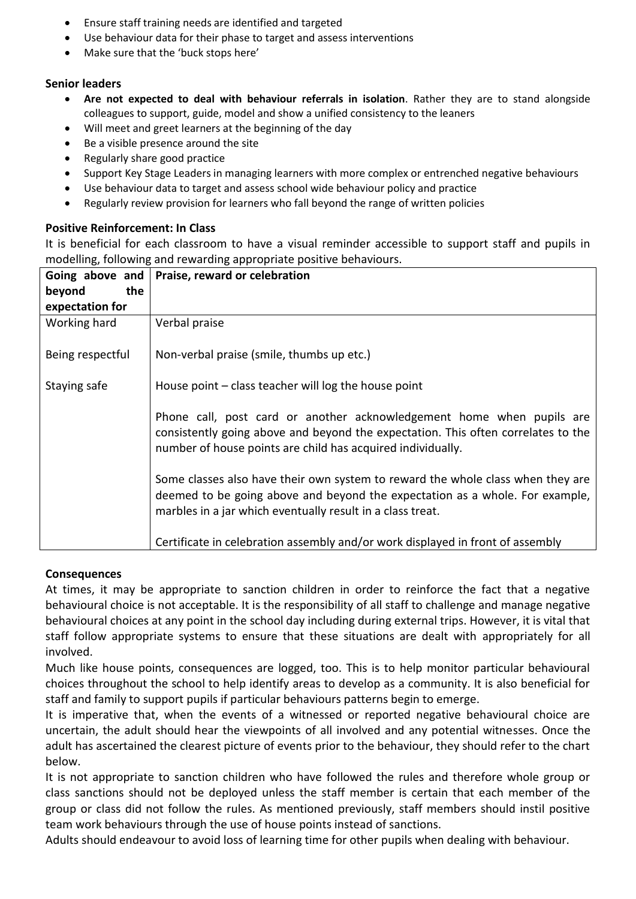- Ensure staff training needs are identified and targeted
- Use behaviour data for their phase to target and assess interventions
- Make sure that the 'buck stops here'

## **Senior leaders**

- **Are not expected to deal with behaviour referrals in isolation**. Rather they are to stand alongside colleagues to support, guide, model and show a unified consistency to the leaners
- Will meet and greet learners at the beginning of the day
- Be a visible presence around the site
- Regularly share good practice
- Support Key Stage Leaders in managing learners with more complex or entrenched negative behaviours
- Use behaviour data to target and assess school wide behaviour policy and practice
- Regularly review provision for learners who fall beyond the range of written policies

## **Positive Reinforcement: In Class**

It is beneficial for each classroom to have a visual reminder accessible to support staff and pupils in modelling, following and rewarding appropriate positive behaviours.

| Going above and  | Praise, reward or celebration                                                                                                                                                                                                 |
|------------------|-------------------------------------------------------------------------------------------------------------------------------------------------------------------------------------------------------------------------------|
| the<br>beyond    |                                                                                                                                                                                                                               |
| expectation for  |                                                                                                                                                                                                                               |
| Working hard     | Verbal praise                                                                                                                                                                                                                 |
| Being respectful | Non-verbal praise (smile, thumbs up etc.)                                                                                                                                                                                     |
| Staying safe     | House point $-$ class teacher will log the house point                                                                                                                                                                        |
|                  | Phone call, post card or another acknowledgement home when pupils are<br>consistently going above and beyond the expectation. This often correlates to the<br>number of house points are child has acquired individually.     |
|                  | Some classes also have their own system to reward the whole class when they are<br>deemed to be going above and beyond the expectation as a whole. For example,<br>marbles in a jar which eventually result in a class treat. |
|                  | Certificate in celebration assembly and/or work displayed in front of assembly                                                                                                                                                |

### **Consequences**

At times, it may be appropriate to sanction children in order to reinforce the fact that a negative behavioural choice is not acceptable. It is the responsibility of all staff to challenge and manage negative behavioural choices at any point in the school day including during external trips. However, it is vital that staff follow appropriate systems to ensure that these situations are dealt with appropriately for all involved.

Much like house points, consequences are logged, too. This is to help monitor particular behavioural choices throughout the school to help identify areas to develop as a community. It is also beneficial for staff and family to support pupils if particular behaviours patterns begin to emerge.

It is imperative that, when the events of a witnessed or reported negative behavioural choice are uncertain, the adult should hear the viewpoints of all involved and any potential witnesses. Once the adult has ascertained the clearest picture of events prior to the behaviour, they should refer to the chart below.

It is not appropriate to sanction children who have followed the rules and therefore whole group or class sanctions should not be deployed unless the staff member is certain that each member of the group or class did not follow the rules. As mentioned previously, staff members should instil positive team work behaviours through the use of house points instead of sanctions.

Adults should endeavour to avoid loss of learning time for other pupils when dealing with behaviour.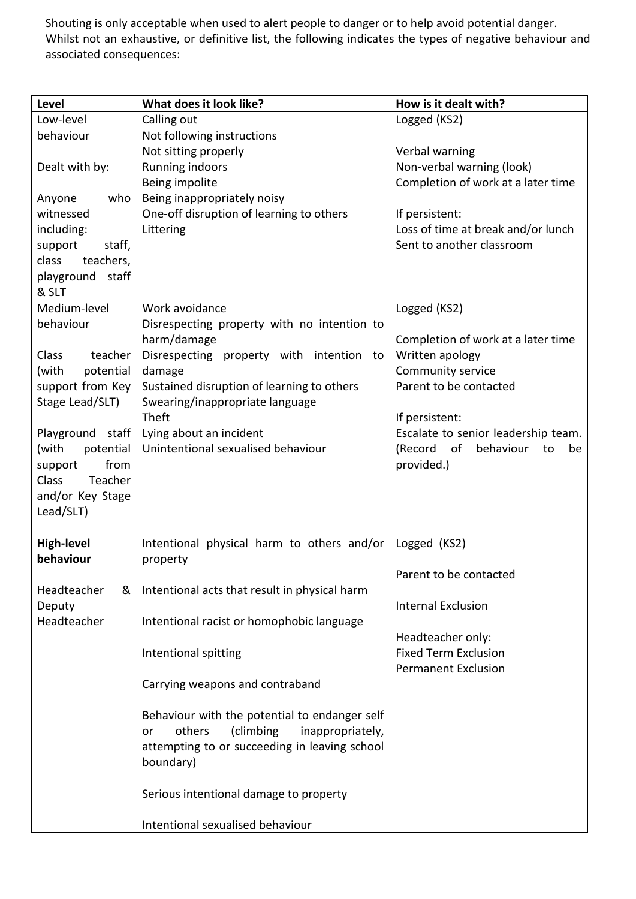Shouting is only acceptable when used to alert people to danger or to help avoid potential danger. Whilst not an exhaustive, or definitive list, the following indicates the types of negative behaviour and associated consequences:

| <b>Level</b>                            | What does it look like?                              | How is it dealt with?                                           |
|-----------------------------------------|------------------------------------------------------|-----------------------------------------------------------------|
| Low-level                               | Calling out                                          | Logged (KS2)                                                    |
| behaviour                               | Not following instructions                           |                                                                 |
|                                         | Not sitting properly                                 | Verbal warning                                                  |
| Dealt with by:                          | Running indoors                                      | Non-verbal warning (look)                                       |
|                                         | Being impolite                                       | Completion of work at a later time                              |
| Anyone<br>who                           | Being inappropriately noisy                          |                                                                 |
| witnessed                               | One-off disruption of learning to others             | If persistent:                                                  |
| including:                              | Littering                                            | Loss of time at break and/or lunch<br>Sent to another classroom |
| support<br>staff,<br>class<br>teachers, |                                                      |                                                                 |
| playground staff                        |                                                      |                                                                 |
| & SLT                                   |                                                      |                                                                 |
| Medium-level                            | Work avoidance                                       | Logged (KS2)                                                    |
| behaviour                               | Disrespecting property with no intention to          |                                                                 |
|                                         | harm/damage                                          | Completion of work at a later time                              |
| <b>Class</b><br>teacher                 | Disrespecting property with intention to             | Written apology                                                 |
| (with<br>potential                      | damage                                               | Community service                                               |
| support from Key                        | Sustained disruption of learning to others           | Parent to be contacted                                          |
| Stage Lead/SLT)                         | Swearing/inappropriate language                      |                                                                 |
|                                         | Theft                                                | If persistent:                                                  |
| Playground staff                        | Lying about an incident                              | Escalate to senior leadership team.                             |
| (with<br>potential                      | Unintentional sexualised behaviour                   | (Record of<br>behaviour<br>to<br>be                             |
| from<br>support                         |                                                      | provided.)                                                      |
| Class<br>Teacher                        |                                                      |                                                                 |
| and/or Key Stage                        |                                                      |                                                                 |
| Lead/SLT)                               |                                                      |                                                                 |
| <b>High-level</b>                       | Intentional physical harm to others and/or           | Logged (KS2)                                                    |
| behaviour                               | property                                             |                                                                 |
|                                         |                                                      | Parent to be contacted                                          |
| Headteacher<br>&                        | Intentional acts that result in physical harm        |                                                                 |
| Deputy                                  |                                                      | <b>Internal Exclusion</b>                                       |
| Headteacher                             | Intentional racist or homophobic language            |                                                                 |
|                                         |                                                      | Headteacher only:                                               |
|                                         | Intentional spitting                                 | <b>Fixed Term Exclusion</b>                                     |
|                                         |                                                      | <b>Permanent Exclusion</b>                                      |
|                                         | Carrying weapons and contraband                      |                                                                 |
|                                         |                                                      |                                                                 |
|                                         | Behaviour with the potential to endanger self        |                                                                 |
|                                         | others<br>(climbing<br>inappropriately,<br><b>or</b> |                                                                 |
|                                         | attempting to or succeeding in leaving school        |                                                                 |
|                                         | boundary)                                            |                                                                 |
|                                         |                                                      |                                                                 |
|                                         | Serious intentional damage to property               |                                                                 |
|                                         | Intentional sexualised behaviour                     |                                                                 |
|                                         |                                                      |                                                                 |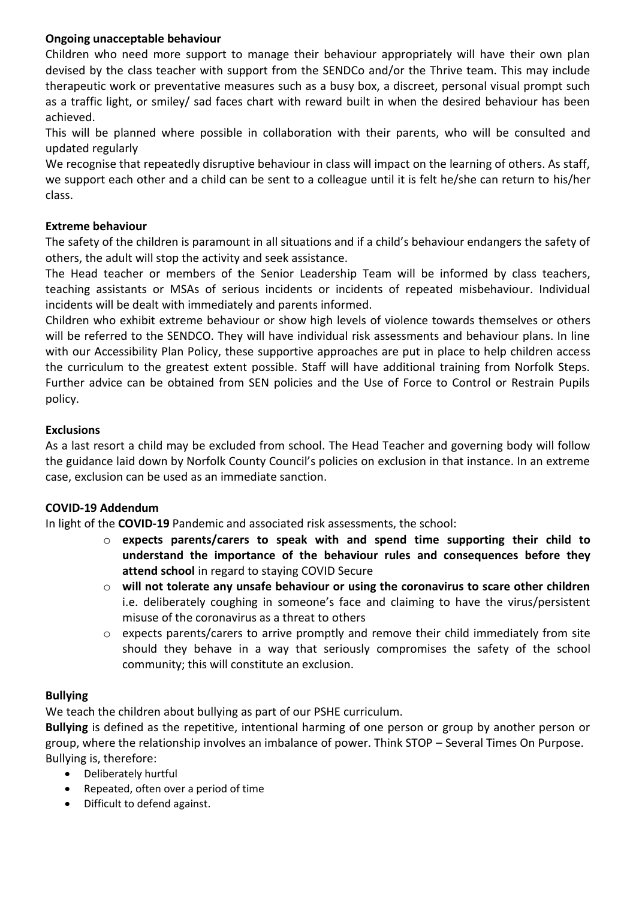## **Ongoing unacceptable behaviour**

Children who need more support to manage their behaviour appropriately will have their own plan devised by the class teacher with support from the SENDCo and/or the Thrive team. This may include therapeutic work or preventative measures such as a busy box, a discreet, personal visual prompt such as a traffic light, or smiley/ sad faces chart with reward built in when the desired behaviour has been achieved.

This will be planned where possible in collaboration with their parents, who will be consulted and updated regularly

We recognise that repeatedly disruptive behaviour in class will impact on the learning of others. As staff, we support each other and a child can be sent to a colleague until it is felt he/she can return to his/her class.

### **Extreme behaviour**

The safety of the children is paramount in all situations and if a child's behaviour endangers the safety of others, the adult will stop the activity and seek assistance.

The Head teacher or members of the Senior Leadership Team will be informed by class teachers, teaching assistants or MSAs of serious incidents or incidents of repeated misbehaviour. Individual incidents will be dealt with immediately and parents informed.

Children who exhibit extreme behaviour or show high levels of violence towards themselves or others will be referred to the SENDCO. They will have individual risk assessments and behaviour plans. In line with our Accessibility Plan Policy, these supportive approaches are put in place to help children access the curriculum to the greatest extent possible. Staff will have additional training from Norfolk Steps. Further advice can be obtained from SEN policies and the Use of Force to Control or Restrain Pupils policy.

## **Exclusions**

As a last resort a child may be excluded from school. The Head Teacher and governing body will follow the guidance laid down by Norfolk County Council's policies on exclusion in that instance. In an extreme case, exclusion can be used as an immediate sanction.

## **COVID-19 Addendum**

In light of the **COVID-19** Pandemic and associated risk assessments, the school:

- o **expects parents/carers to speak with and spend time supporting their child to understand the importance of the behaviour rules and consequences before they attend school** in regard to staying COVID Secure
- o **will not tolerate any unsafe behaviour or using the coronavirus to scare other children** i.e. deliberately coughing in someone's face and claiming to have the virus/persistent misuse of the coronavirus as a threat to others
- o expects parents/carers to arrive promptly and remove their child immediately from site should they behave in a way that seriously compromises the safety of the school community; this will constitute an exclusion.

### **Bullying**

We teach the children about bullying as part of our PSHE curriculum.

**Bullying** is defined as the repetitive, intentional harming of one person or group by another person or group, where the relationship involves an imbalance of power. Think STOP – Several Times On Purpose. Bullying is, therefore:

- Deliberately hurtful
- Repeated, often over a period of time
- Difficult to defend against.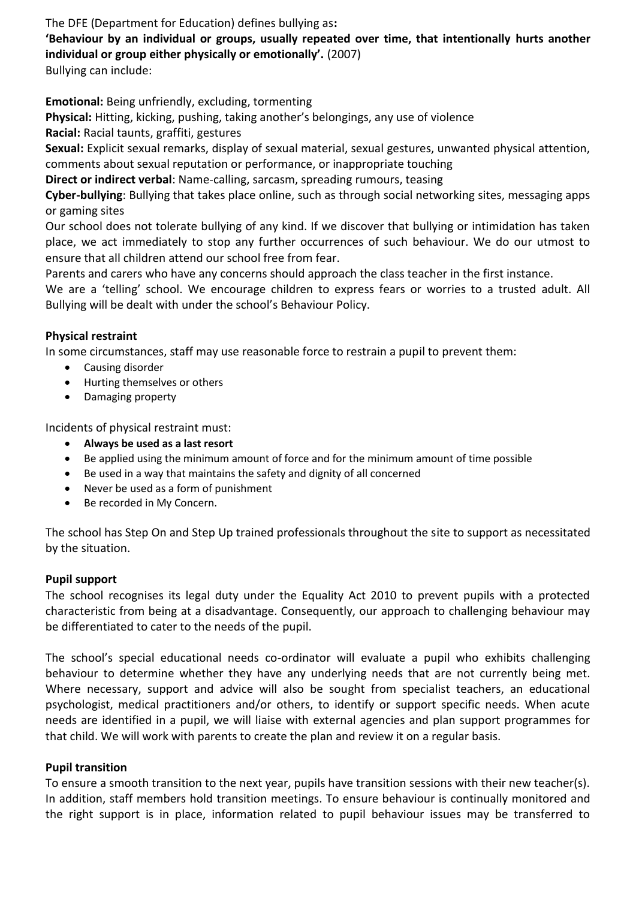The DFE (Department for Education) defines bullying as**:** 

**'Behaviour by an individual or groups, usually repeated over time, that intentionally hurts another individual or group either physically or emotionally'.** (2007)

Bullying can include:

**Emotional:** Being unfriendly, excluding, tormenting

**Physical:** Hitting, kicking, pushing, taking another's belongings, any use of violence

**Racial:** Racial taunts, graffiti, gestures

**Sexual:** Explicit sexual remarks, display of sexual material, sexual gestures, unwanted physical attention, comments about sexual reputation or performance, or inappropriate touching

**Direct or indirect verbal**: Name-calling, sarcasm, spreading rumours, teasing

**Cyber-bullying**: Bullying that takes place online, such as through social networking sites, messaging apps or gaming sites

Our school does not tolerate bullying of any kind. If we discover that bullying or intimidation has taken place, we act immediately to stop any further occurrences of such behaviour. We do our utmost to ensure that all children attend our school free from fear.

Parents and carers who have any concerns should approach the class teacher in the first instance.

We are a 'telling' school. We encourage children to express fears or worries to a trusted adult. All Bullying will be dealt with under the school's Behaviour Policy.

## **Physical restraint**

In some circumstances, staff may use reasonable force to restrain a pupil to prevent them:

- Causing disorder
- Hurting themselves or others
- Damaging property

Incidents of physical restraint must:

- **Always be used as a last resort**
- Be applied using the minimum amount of force and for the minimum amount of time possible
- Be used in a way that maintains the safety and dignity of all concerned
- Never be used as a form of punishment
- Be recorded in My Concern.

The school has Step On and Step Up trained professionals throughout the site to support as necessitated by the situation.

### **Pupil support**

The school recognises its legal duty under the Equality Act 2010 to prevent pupils with a protected characteristic from being at a disadvantage. Consequently, our approach to challenging behaviour may be differentiated to cater to the needs of the pupil.

The school's special educational needs co-ordinator will evaluate a pupil who exhibits challenging behaviour to determine whether they have any underlying needs that are not currently being met. Where necessary, support and advice will also be sought from specialist teachers, an educational psychologist, medical practitioners and/or others, to identify or support specific needs. When acute needs are identified in a pupil, we will liaise with external agencies and plan support programmes for that child. We will work with parents to create the plan and review it on a regular basis.

### **Pupil transition**

To ensure a smooth transition to the next year, pupils have transition sessions with their new teacher(s). In addition, staff members hold transition meetings. To ensure behaviour is continually monitored and the right support is in place, information related to pupil behaviour issues may be transferred to